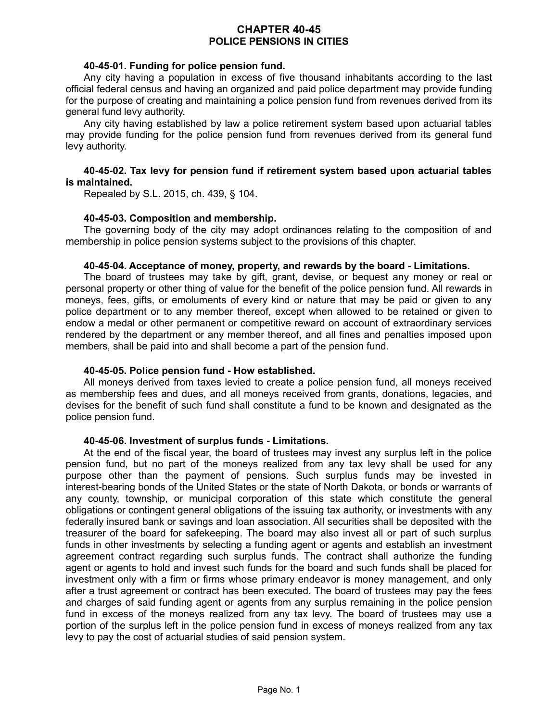# **CHAPTER 40-45 POLICE PENSIONS IN CITIES**

#### **40-45-01. Funding for police pension fund.**

Any city having a population in excess of five thousand inhabitants according to the last official federal census and having an organized and paid police department may provide funding for the purpose of creating and maintaining a police pension fund from revenues derived from its general fund levy authority.

Any city having established by law a police retirement system based upon actuarial tables may provide funding for the police pension fund from revenues derived from its general fund levy authority.

#### **40-45-02. Tax levy for pension fund if retirement system based upon actuarial tables is maintained.**

Repealed by S.L. 2015, ch. 439, § 104.

#### **40-45-03. Composition and membership.**

The governing body of the city may adopt ordinances relating to the composition of and membership in police pension systems subject to the provisions of this chapter.

#### **40-45-04. Acceptance of money, property, and rewards by the board - Limitations.**

The board of trustees may take by gift, grant, devise, or bequest any money or real or personal property or other thing of value for the benefit of the police pension fund. All rewards in moneys, fees, gifts, or emoluments of every kind or nature that may be paid or given to any police department or to any member thereof, except when allowed to be retained or given to endow a medal or other permanent or competitive reward on account of extraordinary services rendered by the department or any member thereof, and all fines and penalties imposed upon members, shall be paid into and shall become a part of the pension fund.

### **40-45-05. Police pension fund - How established.**

All moneys derived from taxes levied to create a police pension fund, all moneys received as membership fees and dues, and all moneys received from grants, donations, legacies, and devises for the benefit of such fund shall constitute a fund to be known and designated as the police pension fund.

### **40-45-06. Investment of surplus funds - Limitations.**

At the end of the fiscal year, the board of trustees may invest any surplus left in the police pension fund, but no part of the moneys realized from any tax levy shall be used for any purpose other than the payment of pensions. Such surplus funds may be invested in interest-bearing bonds of the United States or the state of North Dakota, or bonds or warrants of any county, township, or municipal corporation of this state which constitute the general obligations or contingent general obligations of the issuing tax authority, or investments with any federally insured bank or savings and loan association. All securities shall be deposited with the treasurer of the board for safekeeping. The board may also invest all or part of such surplus funds in other investments by selecting a funding agent or agents and establish an investment agreement contract regarding such surplus funds. The contract shall authorize the funding agent or agents to hold and invest such funds for the board and such funds shall be placed for investment only with a firm or firms whose primary endeavor is money management, and only after a trust agreement or contract has been executed. The board of trustees may pay the fees and charges of said funding agent or agents from any surplus remaining in the police pension fund in excess of the moneys realized from any tax levy. The board of trustees may use a portion of the surplus left in the police pension fund in excess of moneys realized from any tax levy to pay the cost of actuarial studies of said pension system.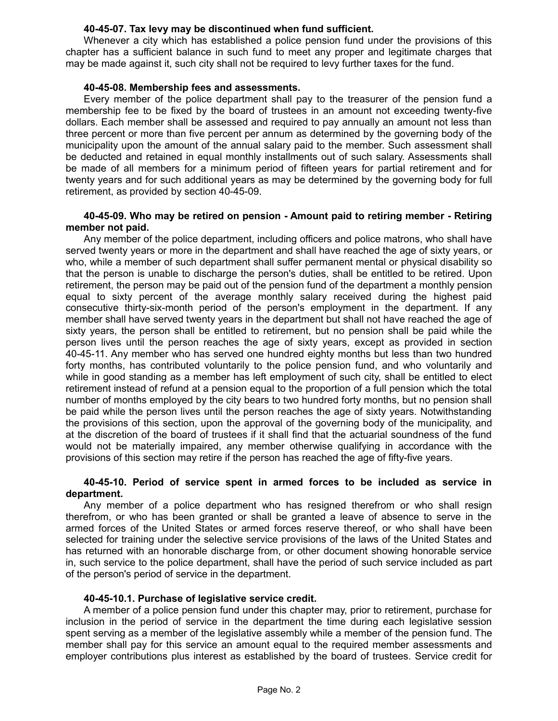## **40-45-07. Tax levy may be discontinued when fund sufficient.**

Whenever a city which has established a police pension fund under the provisions of this chapter has a sufficient balance in such fund to meet any proper and legitimate charges that may be made against it, such city shall not be required to levy further taxes for the fund.

## **40-45-08. Membership fees and assessments.**

Every member of the police department shall pay to the treasurer of the pension fund a membership fee to be fixed by the board of trustees in an amount not exceeding twenty-five dollars. Each member shall be assessed and required to pay annually an amount not less than three percent or more than five percent per annum as determined by the governing body of the municipality upon the amount of the annual salary paid to the member. Such assessment shall be deducted and retained in equal monthly installments out of such salary. Assessments shall be made of all members for a minimum period of fifteen years for partial retirement and for twenty years and for such additional years as may be determined by the governing body for full retirement, as provided by section 40-45-09.

## **40-45-09. Who may be retired on pension - Amount paid to retiring member - Retiring member not paid.**

Any member of the police department, including officers and police matrons, who shall have served twenty years or more in the department and shall have reached the age of sixty years, or who, while a member of such department shall suffer permanent mental or physical disability so that the person is unable to discharge the person's duties, shall be entitled to be retired. Upon retirement, the person may be paid out of the pension fund of the department a monthly pension equal to sixty percent of the average monthly salary received during the highest paid consecutive thirty-six-month period of the person's employment in the department. If any member shall have served twenty years in the department but shall not have reached the age of sixty years, the person shall be entitled to retirement, but no pension shall be paid while the person lives until the person reaches the age of sixty years, except as provided in section 40-45-11. Any member who has served one hundred eighty months but less than two hundred forty months, has contributed voluntarily to the police pension fund, and who voluntarily and while in good standing as a member has left employment of such city, shall be entitled to elect retirement instead of refund at a pension equal to the proportion of a full pension which the total number of months employed by the city bears to two hundred forty months, but no pension shall be paid while the person lives until the person reaches the age of sixty years. Notwithstanding the provisions of this section, upon the approval of the governing body of the municipality, and at the discretion of the board of trustees if it shall find that the actuarial soundness of the fund would not be materially impaired, any member otherwise qualifying in accordance with the provisions of this section may retire if the person has reached the age of fifty-five years.

### **40-45-10. Period of service spent in armed forces to be included as service in department.**

Any member of a police department who has resigned therefrom or who shall resign therefrom, or who has been granted or shall be granted a leave of absence to serve in the armed forces of the United States or armed forces reserve thereof, or who shall have been selected for training under the selective service provisions of the laws of the United States and has returned with an honorable discharge from, or other document showing honorable service in, such service to the police department, shall have the period of such service included as part of the person's period of service in the department.

### **40-45-10.1. Purchase of legislative service credit.**

A member of a police pension fund under this chapter may, prior to retirement, purchase for inclusion in the period of service in the department the time during each legislative session spent serving as a member of the legislative assembly while a member of the pension fund. The member shall pay for this service an amount equal to the required member assessments and employer contributions plus interest as established by the board of trustees. Service credit for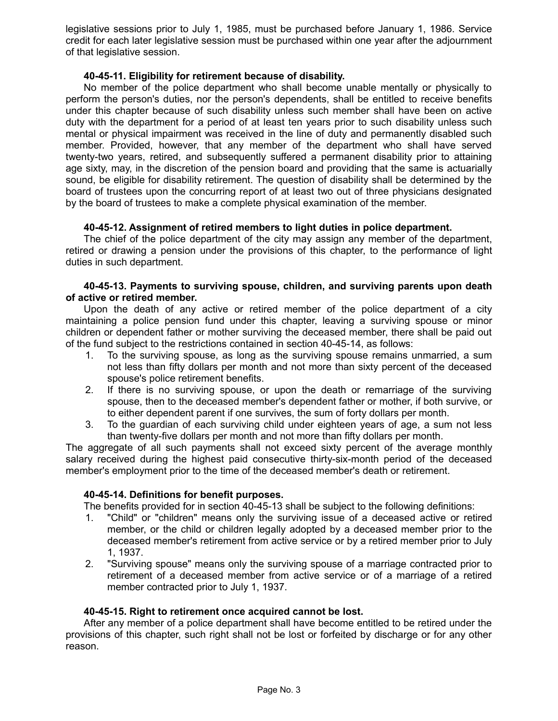legislative sessions prior to July 1, 1985, must be purchased before January 1, 1986. Service credit for each later legislative session must be purchased within one year after the adjournment of that legislative session.

## **40-45-11. Eligibility for retirement because of disability.**

No member of the police department who shall become unable mentally or physically to perform the person's duties, nor the person's dependents, shall be entitled to receive benefits under this chapter because of such disability unless such member shall have been on active duty with the department for a period of at least ten years prior to such disability unless such mental or physical impairment was received in the line of duty and permanently disabled such member. Provided, however, that any member of the department who shall have served twenty-two years, retired, and subsequently suffered a permanent disability prior to attaining age sixty, may, in the discretion of the pension board and providing that the same is actuarially sound, be eligible for disability retirement. The question of disability shall be determined by the board of trustees upon the concurring report of at least two out of three physicians designated by the board of trustees to make a complete physical examination of the member.

## **40-45-12. Assignment of retired members to light duties in police department.**

The chief of the police department of the city may assign any member of the department, retired or drawing a pension under the provisions of this chapter, to the performance of light duties in such department.

## **40-45-13. Payments to surviving spouse, children, and surviving parents upon death of active or retired member.**

Upon the death of any active or retired member of the police department of a city maintaining a police pension fund under this chapter, leaving a surviving spouse or minor children or dependent father or mother surviving the deceased member, there shall be paid out of the fund subject to the restrictions contained in section 40-45-14, as follows:

- 1. To the surviving spouse, as long as the surviving spouse remains unmarried, a sum not less than fifty dollars per month and not more than sixty percent of the deceased spouse's police retirement benefits.
- 2. If there is no surviving spouse, or upon the death or remarriage of the surviving spouse, then to the deceased member's dependent father or mother, if both survive, or to either dependent parent if one survives, the sum of forty dollars per month.
- 3. To the guardian of each surviving child under eighteen years of age, a sum not less than twenty-five dollars per month and not more than fifty dollars per month.

The aggregate of all such payments shall not exceed sixty percent of the average monthly salary received during the highest paid consecutive thirty-six-month period of the deceased member's employment prior to the time of the deceased member's death or retirement.

## **40-45-14. Definitions for benefit purposes.**

The benefits provided for in section 40-45-13 shall be subject to the following definitions:

- 1. "Child" or "children" means only the surviving issue of a deceased active or retired member, or the child or children legally adopted by a deceased member prior to the deceased member's retirement from active service or by a retired member prior to July 1, 1937.
- 2. "Surviving spouse" means only the surviving spouse of a marriage contracted prior to retirement of a deceased member from active service or of a marriage of a retired member contracted prior to July 1, 1937.

### **40-45-15. Right to retirement once acquired cannot be lost.**

After any member of a police department shall have become entitled to be retired under the provisions of this chapter, such right shall not be lost or forfeited by discharge or for any other reason.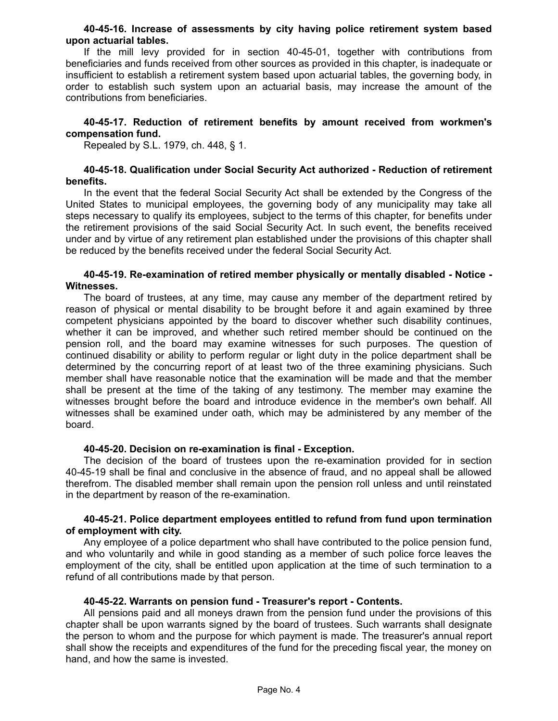#### **40-45-16. Increase of assessments by city having police retirement system based upon actuarial tables.**

If the mill levy provided for in section 40-45-01, together with contributions from beneficiaries and funds received from other sources as provided in this chapter, is inadequate or insufficient to establish a retirement system based upon actuarial tables, the governing body, in order to establish such system upon an actuarial basis, may increase the amount of the contributions from beneficiaries.

## **40-45-17. Reduction of retirement benefits by amount received from workmen's compensation fund.**

Repealed by S.L. 1979, ch. 448, § 1.

## **40-45-18. Qualification under Social Security Act authorized - Reduction of retirement benefits.**

In the event that the federal Social Security Act shall be extended by the Congress of the United States to municipal employees, the governing body of any municipality may take all steps necessary to qualify its employees, subject to the terms of this chapter, for benefits under the retirement provisions of the said Social Security Act. In such event, the benefits received under and by virtue of any retirement plan established under the provisions of this chapter shall be reduced by the benefits received under the federal Social Security Act.

### **40-45-19. Re-examination of retired member physically or mentally disabled - Notice - Witnesses.**

The board of trustees, at any time, may cause any member of the department retired by reason of physical or mental disability to be brought before it and again examined by three competent physicians appointed by the board to discover whether such disability continues, whether it can be improved, and whether such retired member should be continued on the pension roll, and the board may examine witnesses for such purposes. The question of continued disability or ability to perform regular or light duty in the police department shall be determined by the concurring report of at least two of the three examining physicians. Such member shall have reasonable notice that the examination will be made and that the member shall be present at the time of the taking of any testimony. The member may examine the witnesses brought before the board and introduce evidence in the member's own behalf. All witnesses shall be examined under oath, which may be administered by any member of the board.

### **40-45-20. Decision on re-examination is final - Exception.**

The decision of the board of trustees upon the re-examination provided for in section 40-45-19 shall be final and conclusive in the absence of fraud, and no appeal shall be allowed therefrom. The disabled member shall remain upon the pension roll unless and until reinstated in the department by reason of the re-examination.

## **40-45-21. Police department employees entitled to refund from fund upon termination of employment with city.**

Any employee of a police department who shall have contributed to the police pension fund, and who voluntarily and while in good standing as a member of such police force leaves the employment of the city, shall be entitled upon application at the time of such termination to a refund of all contributions made by that person.

### **40-45-22. Warrants on pension fund - Treasurer's report - Contents.**

All pensions paid and all moneys drawn from the pension fund under the provisions of this chapter shall be upon warrants signed by the board of trustees. Such warrants shall designate the person to whom and the purpose for which payment is made. The treasurer's annual report shall show the receipts and expenditures of the fund for the preceding fiscal year, the money on hand, and how the same is invested.